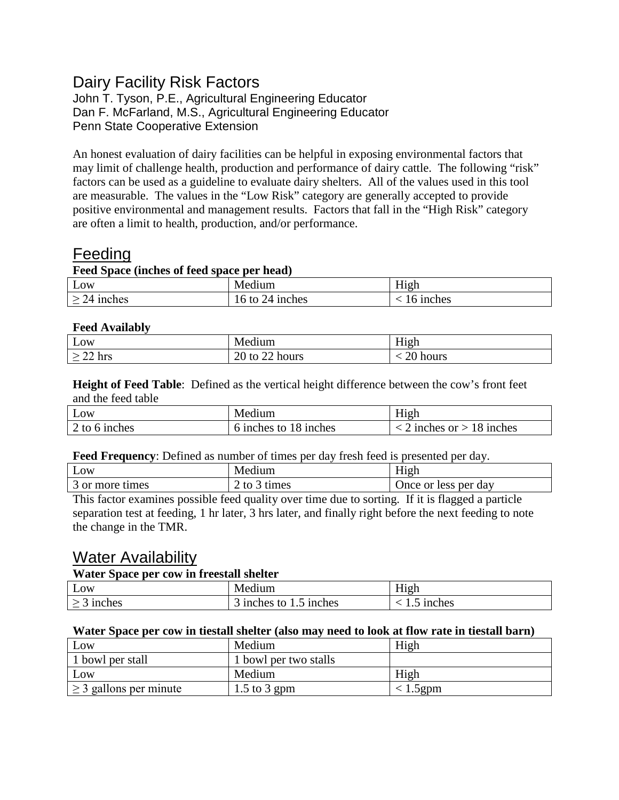## Dairy Facility Risk Factors

John T. Tyson, P.E., Agricultural Engineering Educator Dan F. McFarland, M.S., Agricultural Engineering Educator Penn State Cooperative Extension

An honest evaluation of dairy facilities can be helpful in exposing environmental factors that may limit of challenge health, production and performance of dairy cattle. The following "risk" factors can be used as a guideline to evaluate dairy shelters. All of the values used in this tool are measurable. The values in the "Low Risk" category are generally accepted to provide positive environmental and management results. Factors that fall in the "High Risk" category are often a limit to health, production, and/or performance.

## **Feeding**

### **Feed Space (inches of feed space per head)**

| Low          | $\cdot$ $\cdot$<br>Mer<br>edium           | $-1$<br>11 σ.h<br>111211 |
|--------------|-------------------------------------------|--------------------------|
| 74<br>inches | 6<br><sub>1</sub> nches<br>to<br>$\Delta$ | inches                   |

### **Feed Availably**

| Low              | Medi<br>ledium                                      | $-1$<br>High             |
|------------------|-----------------------------------------------------|--------------------------|
| $\sim$<br>22 hrs | $20 +$<br>$\sim$ 1<br>hours<br>tΩ<br>∠∪<br>w<br>ت ک | hours<br>، ۱ ب<br>______ |

**Height of Feed Table**: Defined as the vertical height difference between the cow's front feet and the feed table

| LOW                     | Medium                                               | 111211                                          |
|-------------------------|------------------------------------------------------|-------------------------------------------------|
| <sub>1</sub> nches<br>n | <sub>1</sub> nches<br>to<br><sub>1</sub> nches<br>18 | <sub>1</sub> nches<br><sub>1</sub> nches<br>∴∩r |

**Feed Frequency**: Defined as number of times per day fresh feed is presented per day.

| Low             | Medium                                                        | <b>TT'</b><br>H <sub>1</sub> gh |
|-----------------|---------------------------------------------------------------|---------------------------------|
| 3 or more times | $\overline{\phantom{a}}$ to $\overline{\phantom{a}}$<br>times | Once or less per day            |

This factor examines possible feed quality over time due to sorting. If it is flagged a particle separation test at feeding, 1 hr later, 3 hrs later, and finally right before the next feeding to note the change in the TMR.

## Water Availability

### **Water Space per cow in freestall shelter**

| Low                | Medium                                             | $-1$<br>H1gh            |
|--------------------|----------------------------------------------------|-------------------------|
| <sub>1</sub> nches | <sub>1</sub> nches<br><sub>1</sub> nches<br>to<br> | <sub>1</sub> nches<br>ن |

### **Water Space per cow in tiestall shelter (also may need to look at flow rate in tiestall barn)**

| Low                         | Medium                | High        |
|-----------------------------|-----------------------|-------------|
| 1 bowl per stall            | 1 bowl per two stalls |             |
| Low                         | Medium                | High        |
| $\geq$ 3 gallons per minute | $1.5$ to 3 gpm        | $< 1.5$ gpm |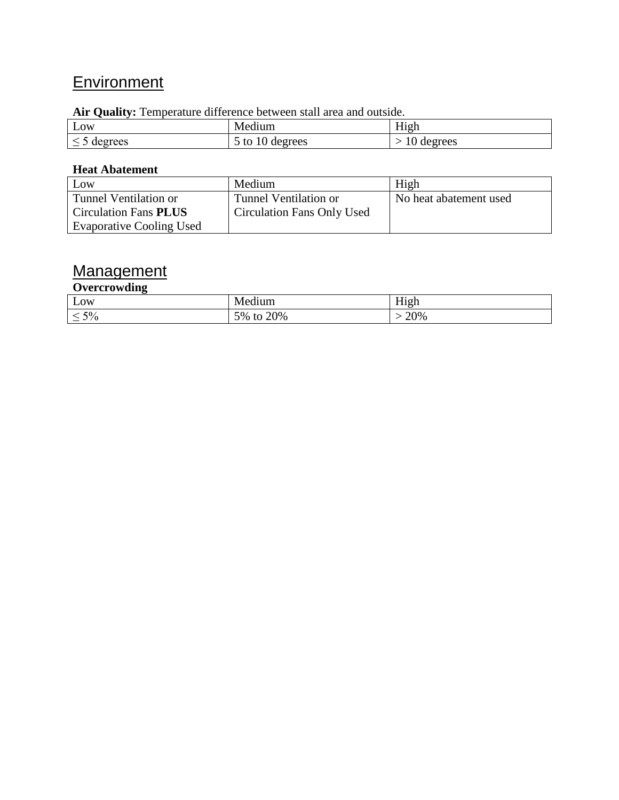# **Environment**

### **Air Quality:** Temperature difference between stall area and outside.

|         | $\cdot$ $\cdot$                 | ---                       |
|---------|---------------------------------|---------------------------|
| Low     | Medium                          | H <sub>1</sub> gh         |
| degrees | degrees<br>to<br>$\overline{1}$ | degrees<br>$\overline{v}$ |

### **Heat Abatement**

| Low                             | Medium                            | High                   |
|---------------------------------|-----------------------------------|------------------------|
| Tunnel Ventilation or           | Tunnel Ventilation or             | No heat abatement used |
| <b>Circulation Fans PLUS</b>    | <b>Circulation Fans Only Used</b> |                        |
| <b>Evaporative Cooling Used</b> |                                   |                        |

## Management

### **Overcrowding**

| -<br>Low                          | 1um                        | $- -$<br>High |
|-----------------------------------|----------------------------|---------------|
| $5\%$<br>$\overline{\phantom{0}}$ | 20%<br>5%<br>$+ \cap$<br>w | 20%           |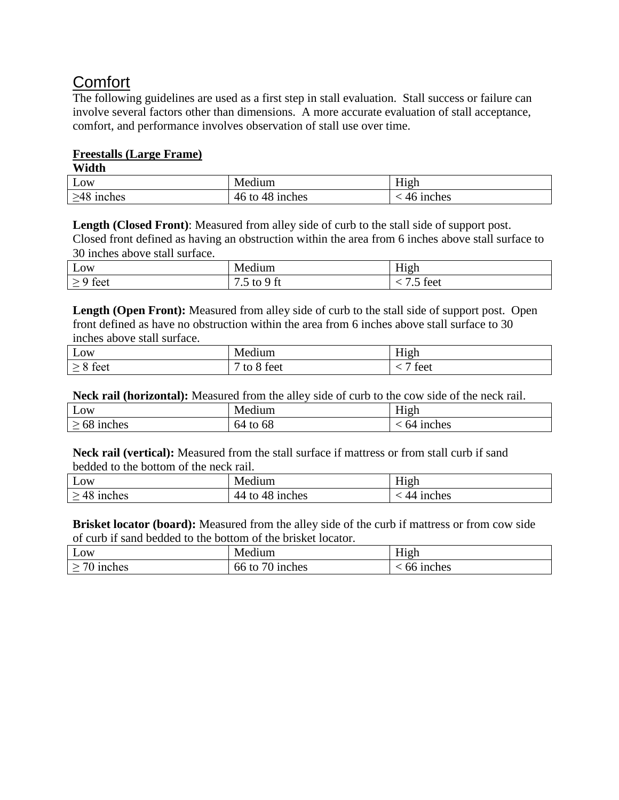## **Comfort**

The following guidelines are used as a first step in stall evaluation. Stall success or failure can involve several factors other than dimensions. A more accurate evaluation of stall acceptance, comfort, and performance involves observation of stall use over time.

### **Freestalls (Large Frame)**

**Width**

| Low                 | Medium                            | .<br>H <sub>1</sub> gh    |
|---------------------|-----------------------------------|---------------------------|
| $\geq 48$<br>inches | 48<br>46 to<br><sub>1</sub> nches | <sub>1</sub> nches<br>4n. |

**Length (Closed Front)**: Measured from alley side of curb to the stall side of support post.

Closed front defined as having an obstruction within the area from 6 inches above stall surface to 30 inches above stall surface.

| Low  | $-1$<br>ululli                               | $- - -$<br>$H_1$ nh<br>111211     |
|------|----------------------------------------------|-----------------------------------|
| teet | $\mathbf{r}$<br>w<br>$\mathbf{r}$<br>$\cdot$ | $\sim$<br>taat<br>IVVI<br>$\cdot$ |

Length (Open Front): Measured from alley side of curb to the stall side of support post. Open front defined as have no obstruction within the area from 6 inches above stall surface to 30 inches above stall surface.

| $\mathbf{r}$<br>Low                                            | <br>NIE<br>uum.                               | $- - -$<br>ισr<br>**** |
|----------------------------------------------------------------|-----------------------------------------------|------------------------|
| $\sim$<br>tee:<br>-<br><b>ICCL</b><br>$\overline{\phantom{0}}$ | $\mathsf{r}\mathsf{a}\mathsf{a}'$<br>◡◡៶<br>w | ۵۵1-<br>エレしし           |

**Neck rail (horizontal):** Measured from the alley side of curb to the cow side of the neck rail.

| Low                      | $\overline{\phantom{a}}$<br>Medium       | <b>TT*</b><br>H <sub>1</sub> gh |
|--------------------------|------------------------------------------|---------------------------------|
| <sub>1</sub> nches<br>nð | 64<br>$\mathbf{f}$<br>-<br><b>O</b><br>w | <sub>1</sub> nches<br>nд        |

**Neck rail (vertical):** Measured from the stall surface if mattress or from stall curb if sand bedded to the bottom of the neck rail.

| <u>т</u>                        | $\bullet$                         | <b>TT'</b>               |
|---------------------------------|-----------------------------------|--------------------------|
| Low                             | Medium                            | H <sub>1</sub> gh        |
| 48<br><i>s</i> inches<br>$\leq$ | 44<br><sub>1</sub> nches<br>to 48 | <sub>1</sub> nches<br>44 |

**Brisket locator (board):** Measured from the alley side of the curb if mattress or from cow side of curb if sand bedded to the bottom of the brisket locator.

| Low                 | $\bullet$<br>Medium                     | $T$ $T$ <sup>+</sup><br>H <sub>1</sub> gh |
|---------------------|-----------------------------------------|-------------------------------------------|
| 70 inches<br>$\geq$ | $.70^{\circ}$<br>66<br>J inches<br>, to | $66$ inches                               |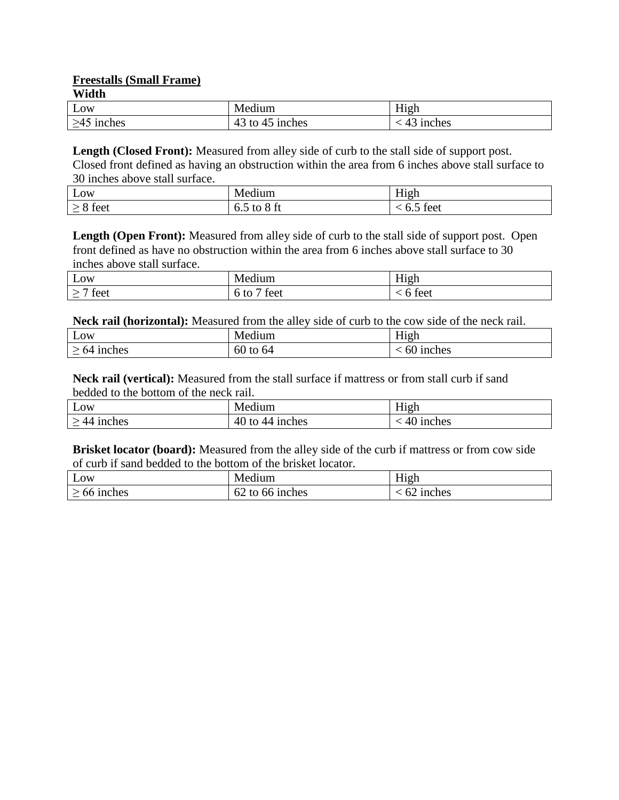**Freestalls (Small Frame)**

| Vidth |  |
|-------|--|
|       |  |

| Low                              | 11111T                       | $- - -$<br>.101<br>114611 |
|----------------------------------|------------------------------|---------------------------|
| <sub>1</sub> nches<br>.<br>----- | $\sim$<br>inches<br>to<br>49 | inches                    |

Length (Closed Front): Measured from alley side of curb to the stall side of support post. Closed front defined as having an obstruction within the area from 6 inches above stall surface to 30 inches above stall surface.

| ЮW                              |        | --   |
|---------------------------------|--------|------|
| صد-                             | ∪.∪    | ۵۵۰، |
| Trac                            |        | τcι  |
| $\hspace{0.1mm}-\hspace{0.1mm}$ | $\sim$ | .    |

Length (Open Front): Measured from alley side of curb to the stall side of support post. Open front defined as have no obstruction within the area from 6 inches above stall surface to 30 inches above stall surface.

| $\overline{\phantom{a}}$<br>Low | $\rightarrow$<br>. .<br>11122<br>սսու | $-1$<br>H <sub>1</sub> gh<br>$-$ |
|---------------------------------|---------------------------------------|----------------------------------|
| teet                            | teet<br>tc<br>.                       | feet                             |

**Neck rail (horizontal):** Measured from the alley side of curb to the cow side of the neck rail.

| Low                                 | <br>--<br>11um<br>Me | $- - -$<br>יש<br>. .<br>-<br>THET |
|-------------------------------------|----------------------|-----------------------------------|
| nches<br>nΔ<br><b>TITATION</b><br>_ | $\sim$<br>t0<br>- OU | inches<br>ורי                     |

**Neck rail (vertical):** Measured from the stall surface if mattress or from stall curb if sand bedded to the bottom of the neck rail.

| <u>т</u><br>Low                      | Medium                            | H <sub>1</sub> gh        |
|--------------------------------------|-----------------------------------|--------------------------|
| <sub>1</sub> nches<br>44<br><u>—</u> | 40<br><i>s</i> inches<br>tο<br>44 | <sub>1</sub> nches<br>41 |

**Brisket locator (board):** Measured from the alley side of the curb if mattress or from cow side of curb if sand bedded to the bottom of the brisket locator.

| Low                                  | $\cdot$ $\cdot$<br>Medium          | $- - -$<br>H <sub>1</sub> gh |
|--------------------------------------|------------------------------------|------------------------------|
| <sub>1</sub> nches<br>00<br><u>—</u> | 1 nches<br>to<br>, nr<br>$O\angle$ | <sub>1</sub> nches           |